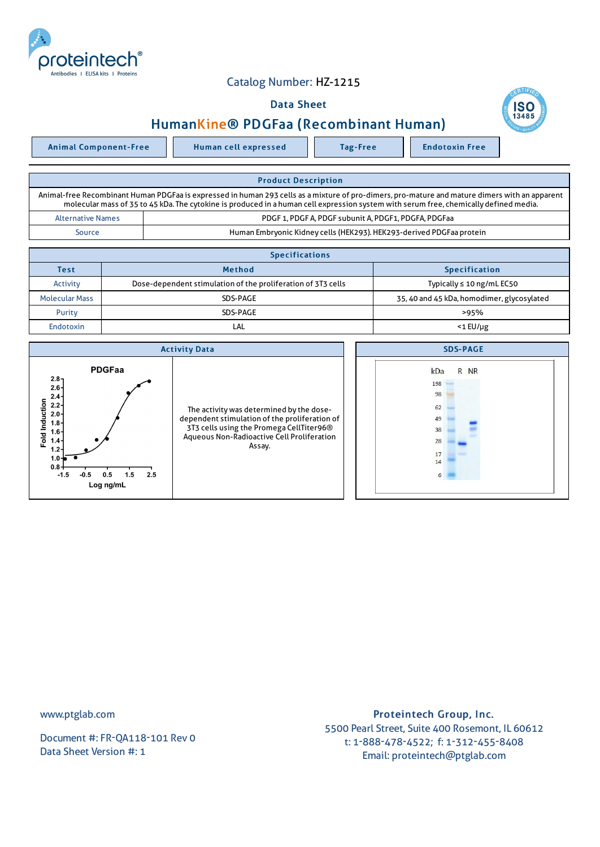

## Catalog Number: HZ-1215

## Data Sheet





| <b>Product Description</b>                                                                                                                                                                                                                                                              |                                                                      |  |  |  |
|-----------------------------------------------------------------------------------------------------------------------------------------------------------------------------------------------------------------------------------------------------------------------------------------|----------------------------------------------------------------------|--|--|--|
| Animal-free Recombinant Human PDGFaa is expressed in human 293 cells as a mixture of pro-dimers, pro-mature and mature dimers with an apparent<br>molecular mass of 35 to 45 kDa. The cytokine is produced in a human cell expression system with serum free, chemically defined media. |                                                                      |  |  |  |
| <b>Alternative Names</b>                                                                                                                                                                                                                                                                | PDGF 1, PDGF A, PDGF subunit A, PDGF1, PDGFA, PDGFaa                 |  |  |  |
| Source                                                                                                                                                                                                                                                                                  | Human Embryonic Kidney cells (HEK293). HEK293-derived PDGFaa protein |  |  |  |

| <b>Specifications</b> |                                                              |                                            |  |  |
|-----------------------|--------------------------------------------------------------|--------------------------------------------|--|--|
| <b>Test</b>           | <b>Method</b>                                                | <b>Specification</b>                       |  |  |
| Activity              | Dose-dependent stimulation of the proliferation of 3T3 cells | Typically $\leq 10$ ng/mL EC50             |  |  |
| <b>Molecular Mass</b> | SDS-PAGE                                                     | 35, 40 and 45 kDa, homodimer, glycosylated |  |  |
| Purity                | SDS-PAGE                                                     | >95%                                       |  |  |
| Endotoxin             | LAL                                                          | $<$ 1 $E$ U/µg                             |  |  |



www.ptglab.com

Document #: FR-QA118-101 Rev 0 Data Sheet Version #: 1

## Proteintech Group, Inc. 5500 Pearl Street, Suite 400 Rosemont, IL 60612 t: 1-888-478-4522; f: 1-312-455-8408 Email: proteintech@ptglab.com

**SC**